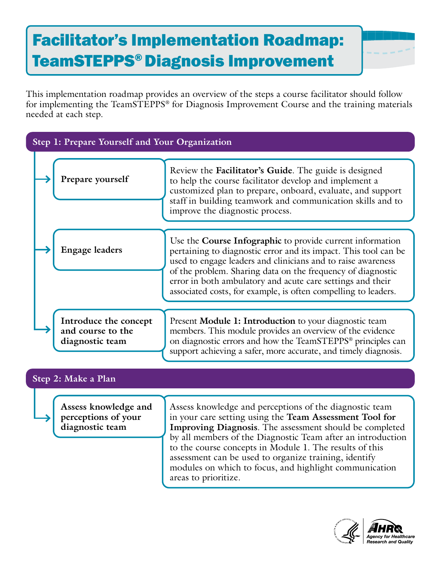## Facilitator's Implementation Roadmap: TeamSTEPPS® Diagnosis Improvement

This implementation roadmap provides an overview of the steps a course facilitator should follow for implementing the TeamSTEPPS® for Diagnosis Improvement Course and the training materials needed at each step.

| Step 1: Prepare Yourself and Your Organization                 |                                                                                                                                                                                                                                                                                                                                                                                                                                                    |
|----------------------------------------------------------------|----------------------------------------------------------------------------------------------------------------------------------------------------------------------------------------------------------------------------------------------------------------------------------------------------------------------------------------------------------------------------------------------------------------------------------------------------|
| Prepare yourself                                               | Review the Facilitator's Guide. The guide is designed<br>to help the course facilitator develop and implement a<br>customized plan to prepare, onboard, evaluate, and support<br>staff in building teamwork and communication skills and to<br>improve the diagnostic process.                                                                                                                                                                     |
| <b>Engage leaders</b>                                          | Use the <b>Course Infographic</b> to provide current information<br>pertaining to diagnostic error and its impact. This tool can be<br>used to engage leaders and clinicians and to raise awareness<br>of the problem. Sharing data on the frequency of diagnostic<br>error in both ambulatory and acute care settings and their<br>associated costs, for example, is often compelling to leaders.                                                 |
| Introduce the concept<br>and course to the<br>diagnostic team  | Present Module 1: Introduction to your diagnostic team<br>members. This module provides an overview of the evidence<br>on diagnostic errors and how the TeamSTEPPS® principles can<br>support achieving a safer, more accurate, and timely diagnosis.                                                                                                                                                                                              |
| Step 2: Make a Plan                                            |                                                                                                                                                                                                                                                                                                                                                                                                                                                    |
| Assess knowledge and<br>perceptions of your<br>diagnostic team | Assess knowledge and perceptions of the diagnostic team<br>in your care setting using the Team Assessment Tool for<br>Improving Diagnosis. The assessment should be completed<br>by all members of the Diagnostic Team after an introduction<br>to the course concepts in Module 1. The results of this<br>assessment can be used to organize training, identify<br>modules on which to focus, and highlight communication<br>areas to prioritize. |
|                                                                |                                                                                                                                                                                                                                                                                                                                                                                                                                                    |